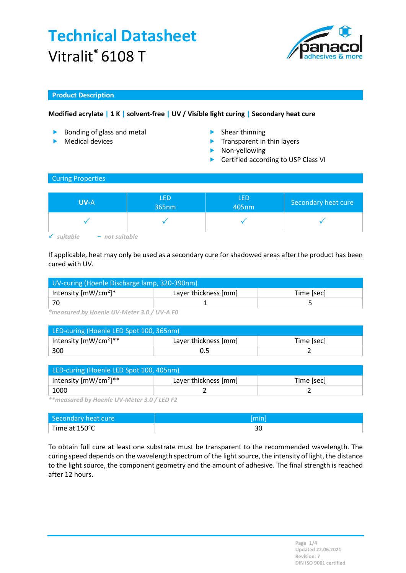

### Product Description

## Modified acrylate | 1 K | solvent-free | UV / Visible light curing | Secondary heat cure

- **Bonding of glass and metal** Shear thinning
- 
- 
- Medical devices **Transparent in thin layers** 
	- Non-yellowing
	- ▶ Certified according to USP Class VI

### Curing Properties

| <b>UV-A</b> | <b>LED</b><br>365nm | <b>LED</b><br>405nm | Secondary heat cure |
|-------------|---------------------|---------------------|---------------------|
|             |                     |                     |                     |

 $\checkmark$  suitable  $-$  not suitable

If applicable, heat may only be used as a secondary cure for shadowed areas after the product has been cured with UV.

| UV-curing (Hoenle Discharge lamp, 320-390nm) |                      |            |  |
|----------------------------------------------|----------------------|------------|--|
| Intensity $[mW/cm^2]^*$                      | Layer thickness [mm] | Time [sec] |  |
| -70                                          |                      |            |  |

\*measured by Hoenle UV-Meter 3.0 / UV-A F0

| LED-curing (Hoenle LED Spot 100, 365nm) |                      |            |  |
|-----------------------------------------|----------------------|------------|--|
| Intensity $[mW/cm^2]^{**}$              | Layer thickness [mm] | Time [sec] |  |
| 300                                     |                      |            |  |

| LED-curing (Hoenle LED Spot 100, 405nm) |                      |            |  |
|-----------------------------------------|----------------------|------------|--|
| Intensity $[mW/cm^2]^{**}$              | Layer thickness [mm] | Time [sec] |  |
| 1000                                    |                      |            |  |

\*\*measured by Hoenle UV-Meter 3.0 / LED F2

| Secondary heat cure |    |
|---------------------|----|
| Time at 150°C       | JU |

To obtain full cure at least one substrate must be transparent to the recommended wavelength. The curing speed depends on the wavelength spectrum of the light source, the intensity of light, the distance to the light source, the component geometry and the amount of adhesive. The final strength is reached after 12 hours.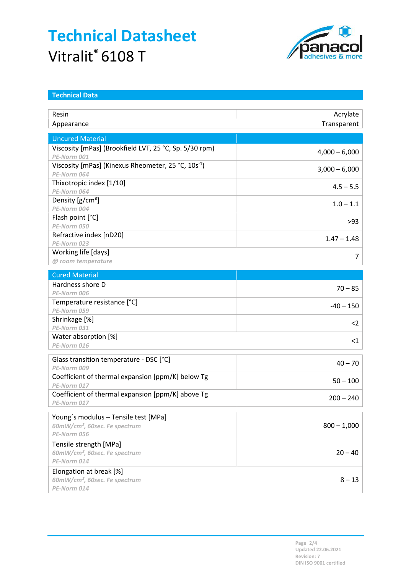

| <b>Technical Data</b>                                                          |                 |
|--------------------------------------------------------------------------------|-----------------|
| Resin                                                                          | Acrylate        |
| Appearance                                                                     | Transparent     |
| <b>Uncured Material</b>                                                        |                 |
| Viscosity [mPas] (Brookfield LVT, 25 °C, Sp. 5/30 rpm)                         | $4,000 - 6,000$ |
| PE-Norm 001                                                                    |                 |
| Viscosity [mPas] (Kinexus Rheometer, 25 °C, 10s <sup>-1</sup> )<br>PE-Norm 064 | $3,000 - 6,000$ |
| Thixotropic index [1/10]<br>PE-Norm 064                                        | $4.5 - 5.5$     |
| Density $[g/cm^3]$<br>PE-Norm 004                                              | $1.0 - 1.1$     |
| Flash point [°C]<br>PE-Norm 050                                                | $>93$           |
| Refractive index [nD20]<br>PE-Norm 023                                         | $1.47 - 1.48$   |
| Working life [days]                                                            | 7               |
| @ room temperature                                                             |                 |
| <b>Cured Material</b>                                                          |                 |
| Hardness shore D<br>PE-Norm 006                                                | $70 - 85$       |
| Temperature resistance [°C]                                                    | $-40 - 150$     |
| PE-Norm 059<br>Shrinkage [%]                                                   |                 |
| PE-Norm 031                                                                    | $2$             |
| Water absorption [%]<br>PE-Norm 016                                            | $<$ 1           |
| Glass transition temperature - DSC [°C]                                        | $40 - 70$       |
| PE-Norm 009<br>Coefficient of thermal expansion [ppm/K] below Tg               |                 |
| PE-Norm 017                                                                    | $50 - 100$      |
| Coefficient of thermal expansion [ppm/K] above Tg<br>PE-Norm 017               | $200 - 240$     |
| Young's modulus - Tensile test [MPa]                                           |                 |
| 60mW/cm <sup>2</sup> , 60sec. Fe spectrum<br>PE-Norm 056                       | $800 - 1,000$   |
| Tensile strength [MPa]<br>60mW/cm <sup>2</sup> , 60sec. Fe spectrum            | $20 - 40$       |
| PE-Norm 014                                                                    |                 |
| Elongation at break [%]<br>60mW/cm <sup>2</sup> , 60sec. Fe spectrum           | $8 - 13$        |
| PE-Norm 014                                                                    |                 |

Page 2/4 Updated 22.06.2021 Revision: 7 DIN ISO 9001 certified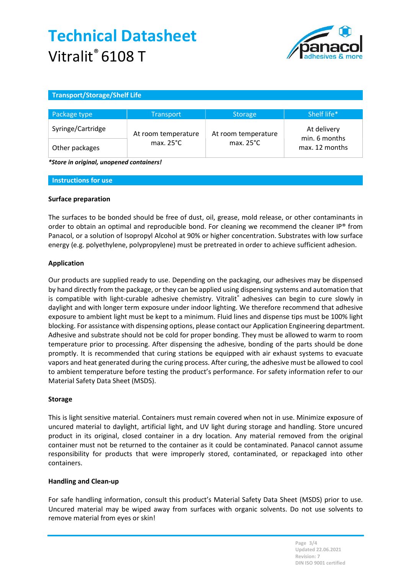

### Transport/Storage/Shelf Life

| Package type      | <b>Transport</b>    | <b>Storage</b>      | Shelf life*                     |
|-------------------|---------------------|---------------------|---------------------------------|
| Syringe/Cartridge | At room temperature | At room temperature | At delivery                     |
| Other packages    | max. $25^{\circ}$ C | max. $25^{\circ}$ C | min. 6 months<br>max. 12 months |

\*Store in original, unopened containers!

#### Instructions for use

#### Surface preparation

The surfaces to be bonded should be free of dust, oil, grease, mold release, or other contaminants in order to obtain an optimal and reproducible bond. For cleaning we recommend the cleaner IP® from Panacol, or a solution of Isopropyl Alcohol at 90% or higher concentration. Substrates with low surface energy (e.g. polyethylene, polypropylene) must be pretreated in order to achieve sufficient adhesion.

#### Application

Our products are supplied ready to use. Depending on the packaging, our adhesives may be dispensed by hand directly from the package, or they can be applied using dispensing systems and automation that is compatible with light-curable adhesive chemistry. Vitralit® adhesives can begin to cure slowly in daylight and with longer term exposure under indoor lighting. We therefore recommend that adhesive exposure to ambient light must be kept to a minimum. Fluid lines and dispense tips must be 100% light blocking. For assistance with dispensing options, please contact our Application Engineering department. Adhesive and substrate should not be cold for proper bonding. They must be allowed to warm to room temperature prior to processing. After dispensing the adhesive, bonding of the parts should be done promptly. It is recommended that curing stations be equipped with air exhaust systems to evacuate vapors and heat generated during the curing process. After curing, the adhesive must be allowed to cool to ambient temperature before testing the product's performance. For safety information refer to our Material Safety Data Sheet (MSDS).

#### Storage

This is light sensitive material. Containers must remain covered when not in use. Minimize exposure of uncured material to daylight, artificial light, and UV light during storage and handling. Store uncured product in its original, closed container in a dry location. Any material removed from the original container must not be returned to the container as it could be contaminated. Panacol cannot assume responsibility for products that were improperly stored, contaminated, or repackaged into other containers.

#### Handling and Clean-up

For safe handling information, consult this product's Material Safety Data Sheet (MSDS) prior to use. Uncured material may be wiped away from surfaces with organic solvents. Do not use solvents to remove material from eyes or skin!